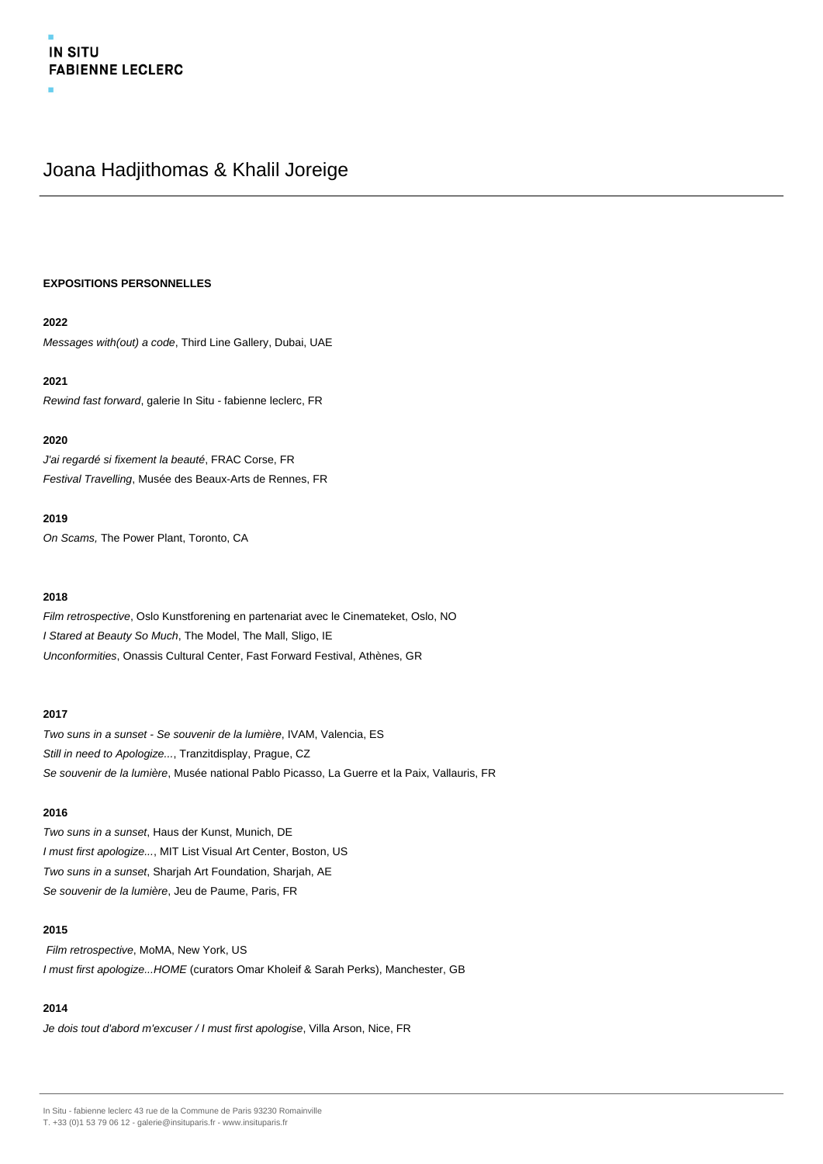# Joana Hadjithomas & Khalil Joreige

## **EXPOSITIONS PERSONNELLES**

## **2022**

Messages with(out) a code, Third Line Gallery, Dubai, UAE

## **2021**

Rewind fast forward, galerie In Situ - fabienne leclerc, FR

## **2020**

J'ai regardé si fixement la beauté, FRAC Corse, FR Festival Travelling, Musée des Beaux-Arts de Rennes, FR

# **2019**

On Scams, The Power Plant, Toronto, CA

## **2018**

Film retrospective, Oslo Kunstforening en partenariat avec le Cinemateket, Oslo, NO I Stared at Beauty So Much, The Model, The Mall, Sligo, IE Unconformities, Onassis Cultural Center, Fast Forward Festival, Athènes, GR

## **2017**

Two suns in a sunset - Se souvenir de la lumière, IVAM, Valencia, ES Still in need to Apologize..., Tranzitdisplay, Prague, CZ Se souvenir de la lumière, Musée national Pablo Picasso, La Guerre et la Paix, Vallauris, FR

# **2016**

Two suns in a sunset, Haus der Kunst, Munich, DE I must first apologize..., MIT List Visual Art Center, Boston, US Two suns in a sunset, Sharjah Art Foundation, Sharjah, AE Se souvenir de la lumière, Jeu de Paume, Paris, FR

## **2015**

Film retrospective, MoMA, New York, US I must first apologize...HOME (curators Omar Kholeif & Sarah Perks), Manchester, GB

## **2014**

Je dois tout d'abord m'excuser / I must first apologise, Villa Arson, Nice, FR

In Situ - fabienne leclerc 43 rue de la Commune de Paris 93230 Romainville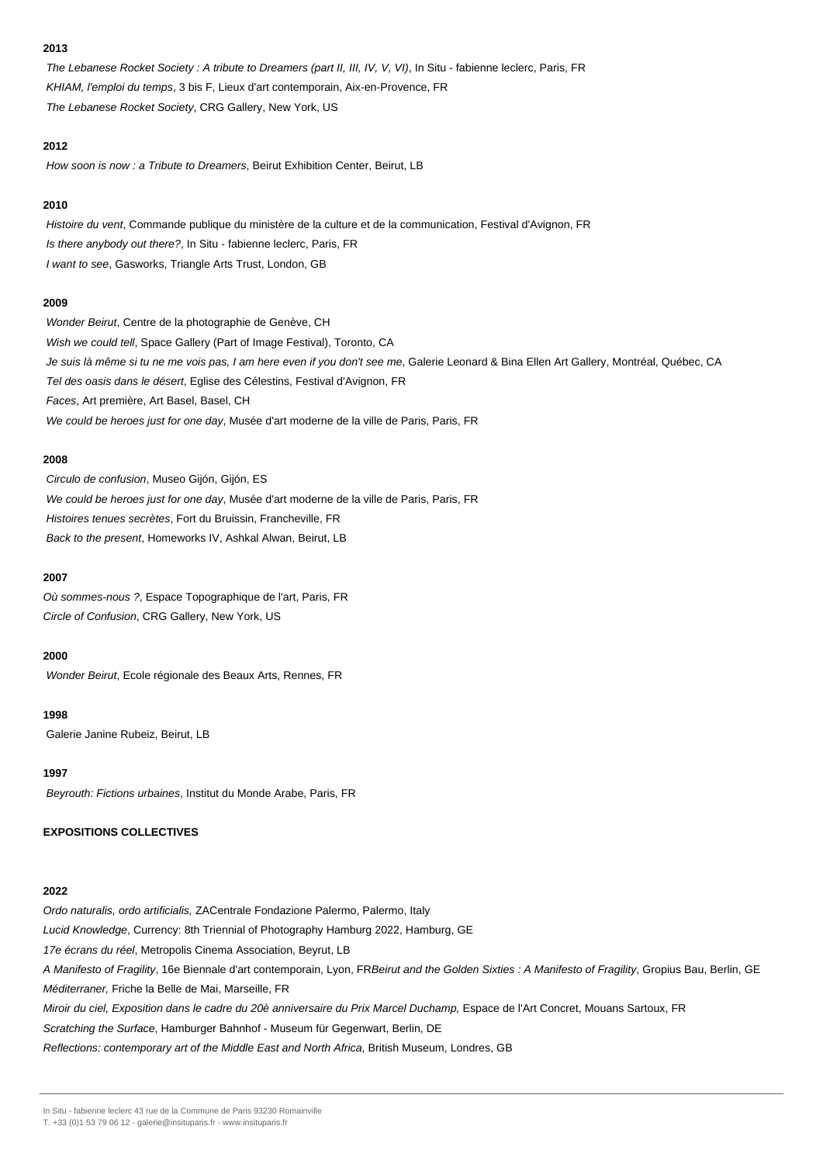## **2013**

The Lebanese Rocket Society : A tribute to Dreamers (part II, III, IV, V, VI), In Situ - fabienne leclerc, Paris, FR KHIAM, l'emploi du temps, 3 bis F, Lieux d'art contemporain, Aix-en-Provence, FR The Lebanese Rocket Society, CRG Gallery, New York, US

#### **2012**

How soon is now : a Tribute to Dreamers, Beirut Exhibition Center, Beirut, LB

## **2010**

Histoire du vent, Commande publique du ministère de la culture et de la communication, Festival d'Avignon, FR Is there anybody out there?, In Situ - fabienne leclerc, Paris, FR I want to see, Gasworks, Triangle Arts Trust, London, GB

## **2009**

Wonder Beirut, Centre de la photographie de Genève, CH Wish we could tell, Space Gallery (Part of Image Festival), Toronto, CA Je suis là même si tu ne me vois pas, I am here even if you don't see me, Galerie Leonard & Bina Ellen Art Gallery, Montréal, Québec, CA Tel des oasis dans le désert, Eglise des Célestins, Festival d'Avignon, FR Faces, Art première, Art Basel, Basel, CH We could be heroes just for one day, Musée d'art moderne de la ville de Paris, Paris, FR

## **2008**

Circulo de confusion, Museo Gijón, Gijón, ES We could be heroes just for one day, Musée d'art moderne de la ville de Paris, Paris, FR Histoires tenues secrètes, Fort du Bruissin, Francheville, FR Back to the present, Homeworks IV, Ashkal Alwan, Beirut, LB

#### **2007**

Où sommes-nous ?, Espace Topographique de l'art, Paris, FR Circle of Confusion, CRG Gallery, New York, US

## **2000**

Wonder Beirut, Ecole régionale des Beaux Arts, Rennes, FR

#### **1998**

Galerie Janine Rubeiz, Beirut, LB

#### **1997**

Beyrouth: Fictions urbaines, Institut du Monde Arabe, Paris, FR

## **EXPOSITIONS COLLECTIVES**

#### **2022**

Ordo naturalis, ordo artificialis, ZACentrale Fondazione Palermo, Palermo, Italy Lucid Knowledge, Currency: 8th Triennial of Photography Hamburg 2022, Hamburg, GE 17e écrans du réel, Metropolis Cinema Association, Beyrut, LB A Manifesto of Fragility, 16e Biennale d'art contemporain, Lyon, FRBeirut and the Golden Sixties : A Manifesto of Fragility, Gropius Bau, Berlin, GE Méditerraner, Friche la Belle de Mai, Marseille, FR Miroir du ciel, Exposition dans le cadre du 20è anniversaire du Prix Marcel Duchamp, Espace de l'Art Concret, Mouans Sartoux, FR Scratching the Surface, Hamburger Bahnhof - Museum für Gegenwart, Berlin, DE Reflections: contemporary art of the Middle East and North Africa, British Museum, Londres, GB

In Situ - fabienne leclerc 43 rue de la Commune de Paris 93230 Romainville

T. +33 (0)1 53 79 06 12 - galerie@insituparis.fr - www.insituparis.fr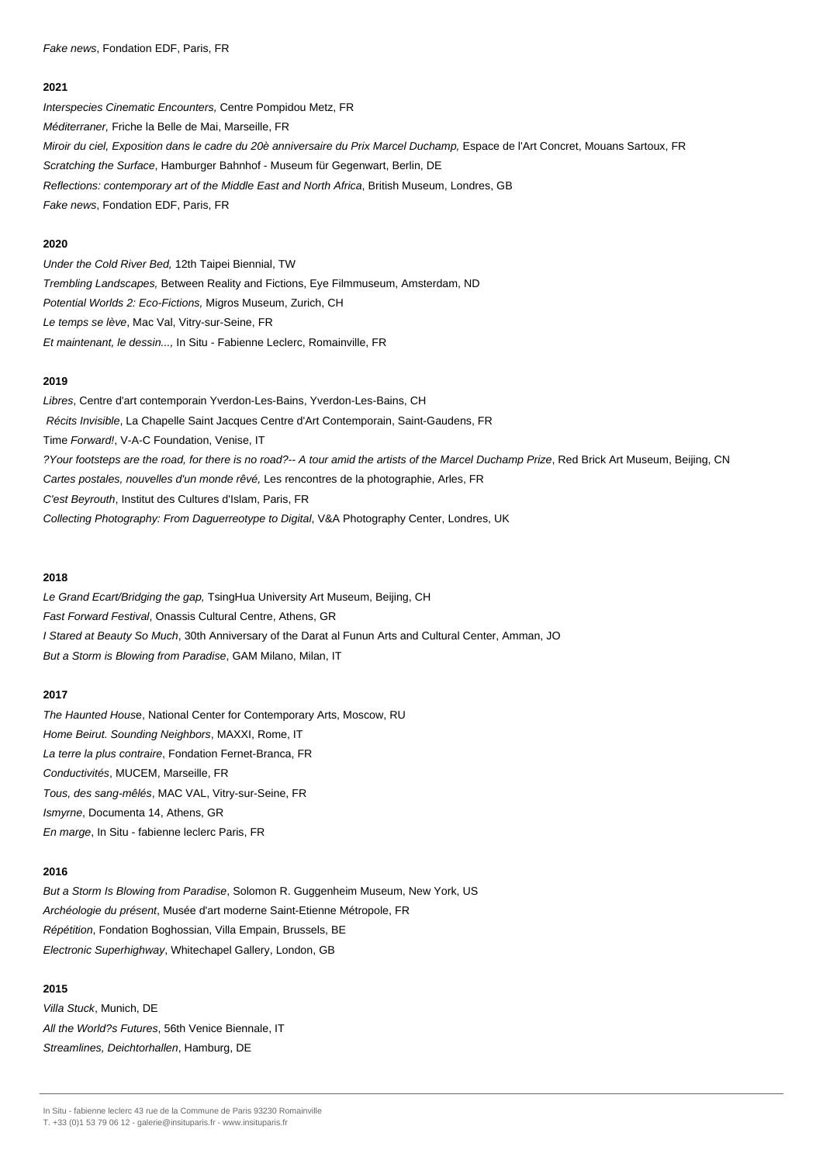Fake news, Fondation EDF, Paris, FR

#### **2021**

Interspecies Cinematic Encounters, Centre Pompidou Metz, FR Méditerraner, Friche la Belle de Mai, Marseille, FR Miroir du ciel, Exposition dans le cadre du 20è anniversaire du Prix Marcel Duchamp, Espace de l'Art Concret, Mouans Sartoux, FR Scratching the Surface, Hamburger Bahnhof - Museum für Gegenwart, Berlin, DE Reflections: contemporary art of the Middle East and North Africa, British Museum, Londres, GB Fake news, Fondation EDF, Paris, FR

#### **2020**

Under the Cold River Bed, 12th Taipei Biennial, TW Trembling Landscapes, Between Reality and Fictions, Eye Filmmuseum, Amsterdam, ND Potential Worlds 2: Eco-Fictions, Migros Museum, Zurich, CH Le temps se lève, Mac Val, Vitry-sur-Seine, FR Et maintenant, le dessin..., In Situ - Fabienne Leclerc, Romainville, FR

## **2019**

Libres, Centre d'art contemporain Yverdon-Les-Bains, Yverdon-Les-Bains, CH Récits Invisible, La Chapelle Saint Jacques Centre d'Art Contemporain, Saint-Gaudens, FR Time Forward!, V-A-C Foundation, Venise, IT ?Your footsteps are the road, for there is no road?-- A tour amid the artists of the Marcel Duchamp Prize, Red Brick Art Museum, Beijing, CN Cartes postales, nouvelles d'un monde rêvé, Les rencontres de la photographie, Arles, FR C'est Beyrouth, Institut des Cultures d'Islam, Paris, FR Collecting Photography: From Daguerreotype to Digital, V&A Photography Center, Londres, UK

#### **2018**

Le Grand Ecart/Bridging the gap, TsingHua University Art Museum, Beijing, CH Fast Forward Festival, Onassis Cultural Centre, Athens, GR I Stared at Beauty So Much, 30th Anniversary of the Darat al Funun Arts and Cultural Center, Amman, JO But a Storm is Blowing from Paradise, GAM Milano, Milan, IT

#### **2017**

The Haunted House, National Center for Contemporary Arts, Moscow, RU Home Beirut. Sounding Neighbors, MAXXI, Rome, IT La terre la plus contraire, Fondation Fernet-Branca, FR Conductivités, MUCEM, Marseille, FR Tous, des sang-mêlés, MAC VAL, Vitry-sur-Seine, FR Ismyrne, Documenta 14, Athens, GR En marge, In Situ - fabienne leclerc Paris, FR

## **2016**

But a Storm Is Blowing from Paradise, Solomon R. Guggenheim Museum, New York, US Archéologie du présent, Musée d'art moderne Saint-Etienne Métropole, FR Répétition, Fondation Boghossian, Villa Empain, Brussels, BE Electronic Superhighway, Whitechapel Gallery, London, GB

# **2015**

Villa Stuck, Munich, DE All the World?s Futures, 56th Venice Biennale, IT Streamlines, Deichtorhallen, Hamburg, DE

In Situ - fabienne leclerc 43 rue de la Commune de Paris 93230 Romainville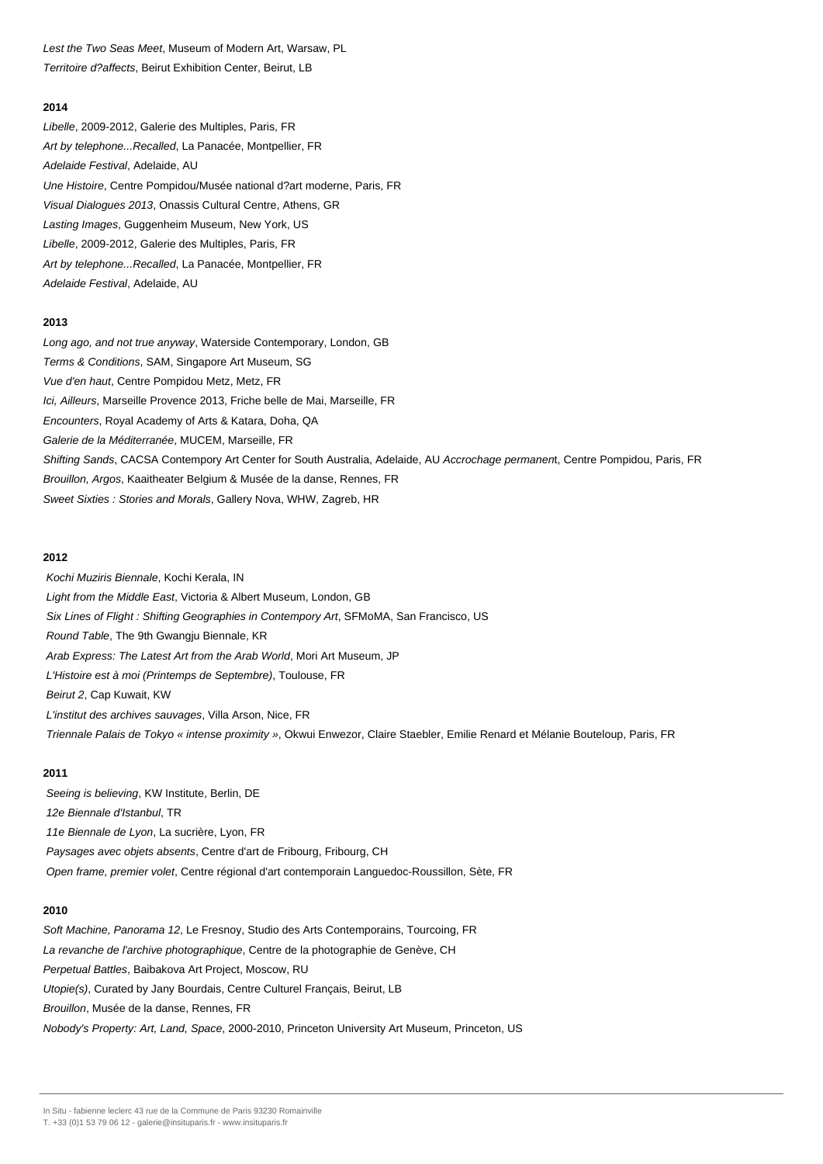Lest the Two Seas Meet, Museum of Modern Art, Warsaw, PL Territoire d?affects, Beirut Exhibition Center, Beirut, LB

## **2014**

Libelle, 2009-2012, Galerie des Multiples, Paris, FR Art by telephone...Recalled, La Panacée, Montpellier, FR Adelaide Festival, Adelaide, AU Une Histoire, Centre Pompidou/Musée national d?art moderne, Paris, FR Visual Dialogues 2013, Onassis Cultural Centre, Athens, GR Lasting Images, Guggenheim Museum, New York, US Libelle, 2009-2012, Galerie des Multiples, Paris, FR Art by telephone...Recalled, La Panacée, Montpellier, FR Adelaide Festival, Adelaide, AU

#### **2013**

Long ago, and not true anyway, Waterside Contemporary, London, GB Terms & Conditions, SAM, Singapore Art Museum, SG Vue d'en haut, Centre Pompidou Metz, Metz, FR Ici, Ailleurs, Marseille Provence 2013, Friche belle de Mai, Marseille, FR Encounters, Royal Academy of Arts & Katara, Doha, QA Galerie de la Méditerranée, MUCEM, Marseille, FR Shifting Sands, CACSA Contempory Art Center for South Australia, Adelaide, AU Accrochage permanent, Centre Pompidou, Paris, FR Brouillon, Argos, Kaaitheater Belgium & Musée de la danse, Rennes, FR Sweet Sixties : Stories and Morals, Gallery Nova, WHW, Zagreb, HR

#### **2012**

Kochi Muziris Biennale, Kochi Kerala, IN Light from the Middle East, Victoria & Albert Museum, London, GB Six Lines of Flight : Shifting Geographies in Contempory Art, SFMoMA, San Francisco, US Round Table, The 9th Gwangju Biennale, KR Arab Express: The Latest Art from the Arab World, Mori Art Museum, JP L'Histoire est à moi (Printemps de Septembre), Toulouse, FR Beirut 2, Cap Kuwait, KW L'institut des archives sauvages, Villa Arson, Nice, FR Triennale Palais de Tokyo « intense proximity », Okwui Enwezor, Claire Staebler, Emilie Renard et Mélanie Bouteloup, Paris, FR

#### **2011**

Seeing is believing, KW Institute, Berlin, DE 12e Biennale d'Istanbul, TR 11e Biennale de Lyon, La sucrière, Lyon, FR Paysages avec objets absents, Centre d'art de Fribourg, Fribourg, CH Open frame, premier volet, Centre régional d'art contemporain Languedoc-Roussillon, Sète, FR

#### **2010**

Soft Machine, Panorama 12, Le Fresnoy, Studio des Arts Contemporains, Tourcoing, FR La revanche de l'archive photographique, Centre de la photographie de Genève, CH Perpetual Battles, Baibakova Art Project, Moscow, RU Utopie(s), Curated by Jany Bourdais, Centre Culturel Français, Beirut, LB Brouillon, Musée de la danse, Rennes, FR Nobody's Property: Art, Land, Space, 2000-2010, Princeton University Art Museum, Princeton, US

In Situ - fabienne leclerc 43 rue de la Commune de Paris 93230 Romainville

T. +33 (0)1 53 79 06 12 - galerie@insituparis.fr - www.insituparis.fr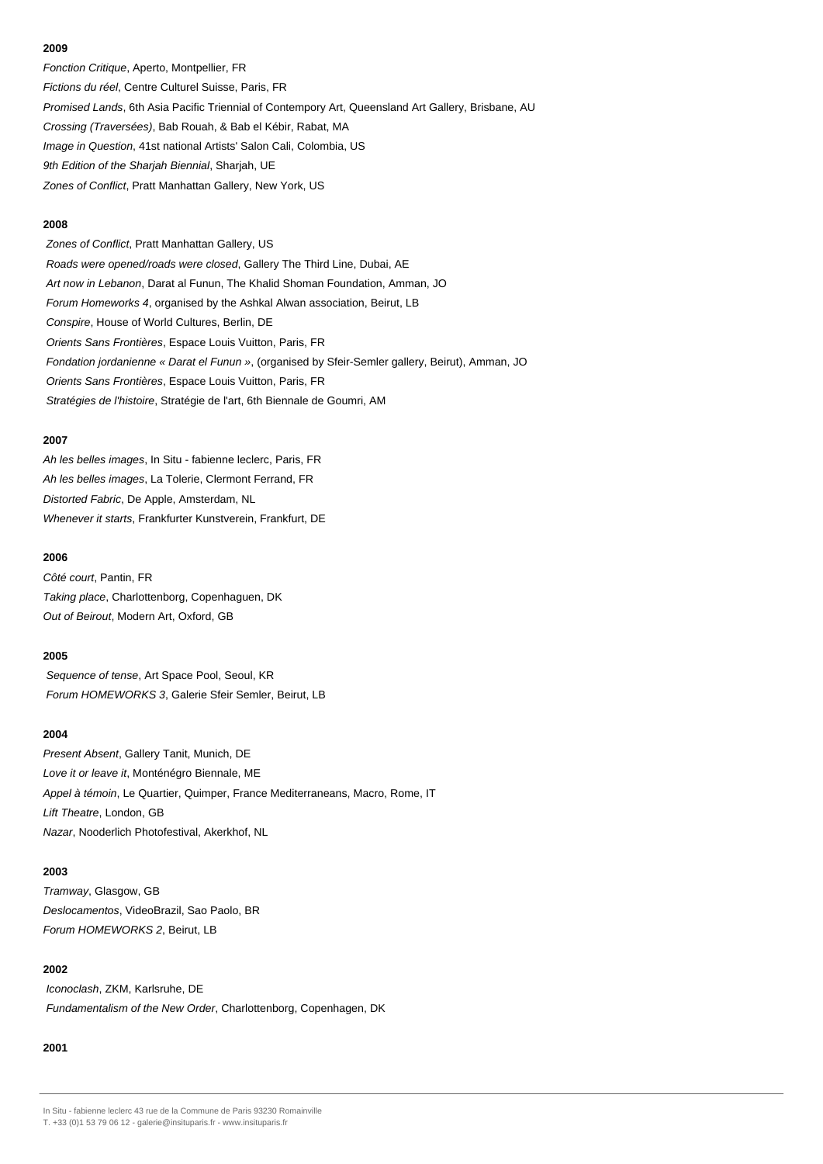## **2009**

Fonction Critique, Aperto, Montpellier, FR Fictions du réel, Centre Culturel Suisse, Paris, FR Promised Lands, 6th Asia Pacific Triennial of Contempory Art, Queensland Art Gallery, Brisbane, AU Crossing (Traversées), Bab Rouah, & Bab el Kébir, Rabat, MA Image in Question, 41st national Artists' Salon Cali, Colombia, US 9th Edition of the Sharjah Biennial, Sharjah, UE Zones of Conflict, Pratt Manhattan Gallery, New York, US

#### **2008**

Zones of Conflict, Pratt Manhattan Gallery, US Roads were opened/roads were closed, Gallery The Third Line, Dubai, AE Art now in Lebanon, Darat al Funun, The Khalid Shoman Foundation, Amman, JO Forum Homeworks 4, organised by the Ashkal Alwan association, Beirut, LB Conspire, House of World Cultures, Berlin, DE Orients Sans Frontières, Espace Louis Vuitton, Paris, FR Fondation jordanienne « Darat el Funun », (organised by Sfeir-Semler gallery, Beirut), Amman, JO Orients Sans Frontières, Espace Louis Vuitton, Paris, FR Stratégies de l'histoire, Stratégie de l'art, 6th Biennale de Goumri, AM

## **2007**

Ah les belles images, In Situ - fabienne leclerc, Paris, FR Ah les belles images, La Tolerie, Clermont Ferrand, FR Distorted Fabric, De Apple, Amsterdam, NL Whenever it starts, Frankfurter Kunstverein, Frankfurt, DE

## **2006**

Côté court, Pantin, FR Taking place, Charlottenborg, Copenhaguen, DK Out of Beirout, Modern Art, Oxford, GB

# **2005**

Sequence of tense, Art Space Pool, Seoul, KR Forum HOMEWORKS 3, Galerie Sfeir Semler, Beirut, LB

## **2004**

Present Absent, Gallery Tanit, Munich, DE Love it or leave it, Monténégro Biennale, ME Appel à témoin, Le Quartier, Quimper, France Mediterraneans, Macro, Rome, IT Lift Theatre, London, GB Nazar, Nooderlich Photofestival, Akerkhof, NL

# **2003**

Tramway, Glasgow, GB Deslocamentos, VideoBrazil, Sao Paolo, BR Forum HOMEWORKS 2, Beirut, LB

## **2002**

Iconoclash, ZKM, Karlsruhe, DE Fundamentalism of the New Order, Charlottenborg, Copenhagen, DK

## **2001**

In Situ - fabienne leclerc 43 rue de la Commune de Paris 93230 Romainville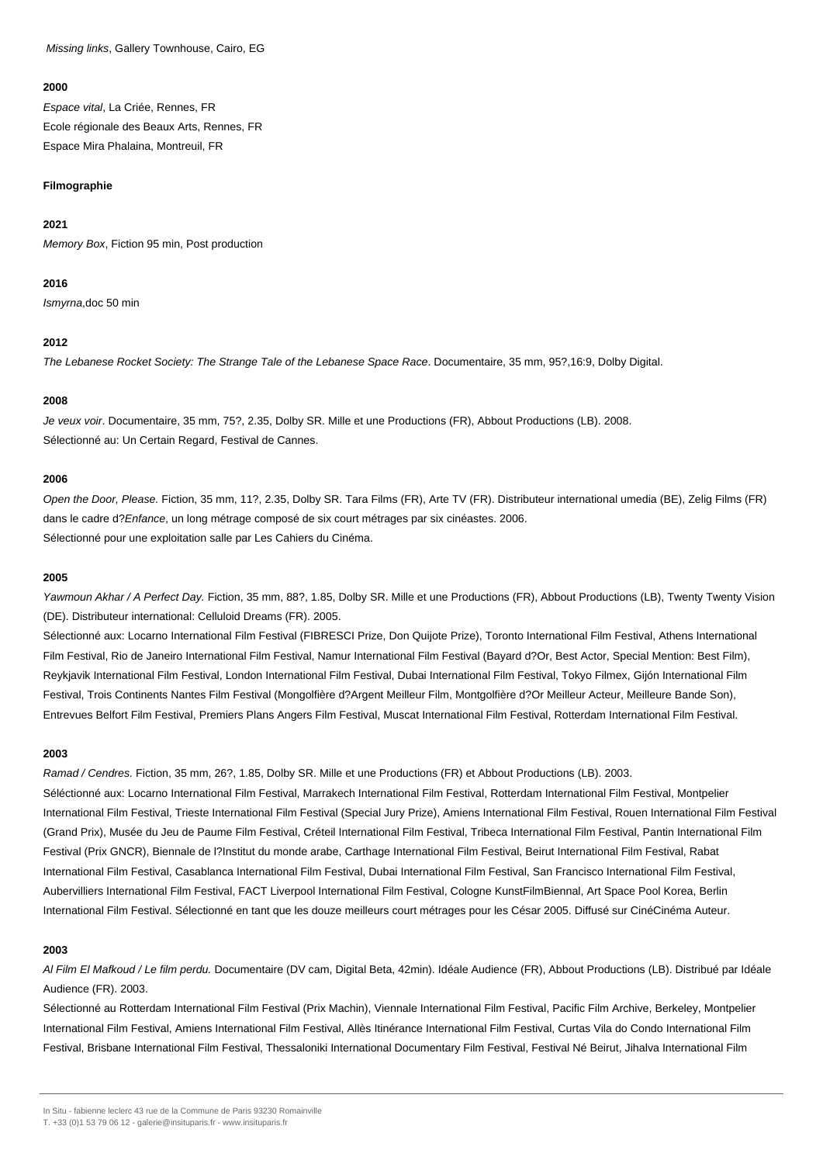Missing links, Gallery Townhouse, Cairo, EG

#### **2000**

Espace vital, La Criée, Rennes, FR Ecole régionale des Beaux Arts, Rennes, FR Espace Mira Phalaina, Montreuil, FR

## **Filmographie**

## **2021**

Memory Box, Fiction 95 min, Post production

## **2016**

Ismyrna,doc 50 min

# **2012**

The Lebanese Rocket Society: The Strange Tale of the Lebanese Space Race. Documentaire, 35 mm, 95?,16:9, Dolby Digital.

# **2008**

Je veux voir. Documentaire, 35 mm, 75?, 2.35, Dolby SR. Mille et une Productions (FR), Abbout Productions (LB). 2008. Sélectionné au: Un Certain Regard, Festival de Cannes.

# **2006**

Open the Door, Please. Fiction, 35 mm, 11?, 2.35, Dolby SR. Tara Films (FR), Arte TV (FR). Distributeur international umedia (BE), Zelig Films (FR) dans le cadre d?Enfance, un long métrage composé de six court métrages par six cinéastes. 2006. Sélectionné pour une exploitation salle par Les Cahiers du Cinéma.

## **2005**

Yawmoun Akhar / A Perfect Day. Fiction, 35 mm, 88?, 1.85, Dolby SR. Mille et une Productions (FR), Abbout Productions (LB), Twenty Twenty Vision (DE). Distributeur international: Celluloid Dreams (FR). 2005.

Sélectionné aux: Locarno International Film Festival (FIBRESCI Prize, Don Quijote Prize), Toronto International Film Festival, Athens International Film Festival, Rio de Janeiro International Film Festival, Namur International Film Festival (Bayard d?Or, Best Actor, Special Mention: Best Film), Reykjavik International Film Festival, London International Film Festival, Dubai International Film Festival, Tokyo Filmex, Gijón International Film Festival, Trois Continents Nantes Film Festival (Mongolfière d?Argent Meilleur Film, Montgolfière d?Or Meilleur Acteur, Meilleure Bande Son), Entrevues Belfort Film Festival, Premiers Plans Angers Film Festival, Muscat International Film Festival, Rotterdam International Film Festival.

# **2003**

Ramad / Cendres. Fiction, 35 mm, 26?, 1.85, Dolby SR. Mille et une Productions (FR) et Abbout Productions (LB). 2003. Séléctionné aux: Locarno International Film Festival, Marrakech International Film Festival, Rotterdam International Film Festival, Montpelier International Film Festival, Trieste International Film Festival (Special Jury Prize), Amiens International Film Festival, Rouen International Film Festival (Grand Prix), Musée du Jeu de Paume Film Festival, Créteil International Film Festival, Tribeca International Film Festival, Pantin International Film Festival (Prix GNCR), Biennale de l?Institut du monde arabe, Carthage International Film Festival, Beirut International Film Festival, Rabat International Film Festival, Casablanca International Film Festival, Dubai International Film Festival, San Francisco International Film Festival, Aubervilliers International Film Festival, FACT Liverpool International Film Festival, Cologne KunstFilmBiennal, Art Space Pool Korea, Berlin International Film Festival. Sélectionné en tant que les douze meilleurs court métrages pour les César 2005. Diffusé sur CinéCinéma Auteur.

# **2003**

Al Film El Mafkoud / Le film perdu. Documentaire (DV cam, Digital Beta, 42min). Idéale Audience (FR), Abbout Productions (LB). Distribué par Idéale Audience (FR). 2003.

Sélectionné au Rotterdam International Film Festival (Prix Machin), Viennale International Film Festival, Pacific Film Archive, Berkeley, Montpelier International Film Festival, Amiens International Film Festival, Allès Itinérance International Film Festival, Curtas Vila do Condo International Film Festival, Brisbane International Film Festival, Thessaloniki International Documentary Film Festival, Festival Né Beirut, Jihalva International Film

In Situ - fabienne leclerc 43 rue de la Commune de Paris 93230 Romainville

T. +33 (0)1 53 79 06 12 - galerie@insituparis.fr - www.insituparis.fr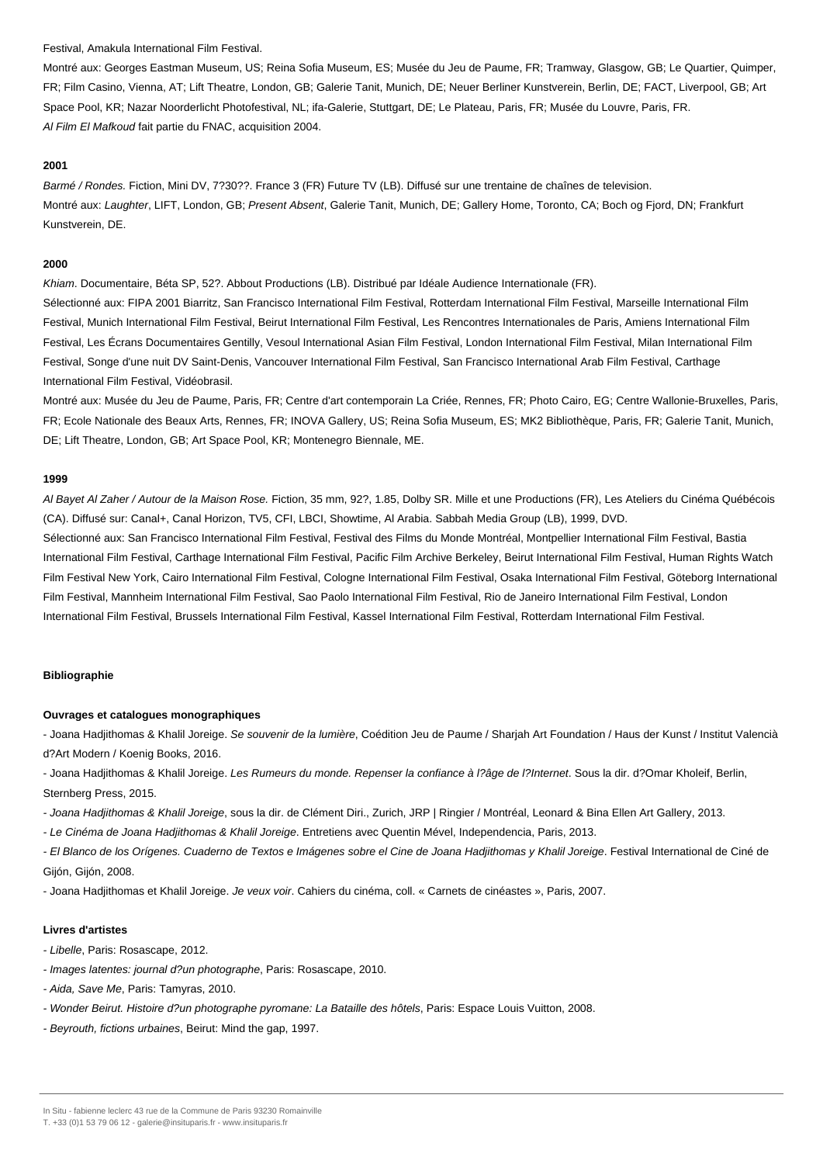#### Festival, Amakula International Film Festival.

Montré aux: Georges Eastman Museum, US; Reina Sofia Museum, ES; Musée du Jeu de Paume, FR; Tramway, Glasgow, GB; Le Quartier, Quimper, FR; Film Casino, Vienna, AT; Lift Theatre, London, GB; Galerie Tanit, Munich, DE; Neuer Berliner Kunstverein, Berlin, DE; FACT, Liverpool, GB; Art Space Pool, KR; Nazar Noorderlicht Photofestival, NL; ifa-Galerie, Stuttgart, DE; Le Plateau, Paris, FR; Musée du Louvre, Paris, FR. Al Film El Mafkoud fait partie du FNAC, acquisition 2004.

#### **2001**

Barmé / Rondes. Fiction, Mini DV, 7?30??. France 3 (FR) Future TV (LB). Diffusé sur une trentaine de chaînes de television. Montré aux: Laughter, LIFT, London, GB; Present Absent, Galerie Tanit, Munich, DE; Gallery Home, Toronto, CA; Boch og Fjord, DN; Frankfurt Kunstverein, DE.

#### **2000**

Khiam. Documentaire, Béta SP, 52?. Abbout Productions (LB). Distribué par Idéale Audience Internationale (FR).

Sélectionné aux: FIPA 2001 Biarritz, San Francisco International Film Festival, Rotterdam International Film Festival, Marseille International Film Festival, Munich International Film Festival, Beirut International Film Festival, Les Rencontres Internationales de Paris, Amiens International Film Festival, Les Écrans Documentaires Gentilly, Vesoul International Asian Film Festival, London International Film Festival, Milan International Film Festival, Songe d'une nuit DV Saint-Denis, Vancouver International Film Festival, San Francisco International Arab Film Festival, Carthage International Film Festival, Vidéobrasil.

Montré aux: Musée du Jeu de Paume, Paris, FR; Centre d'art contemporain La Criée, Rennes, FR; Photo Cairo, EG; Centre Wallonie-Bruxelles, Paris, FR; Ecole Nationale des Beaux Arts, Rennes, FR; INOVA Gallery, US; Reina Sofia Museum, ES; MK2 Bibliothèque, Paris, FR; Galerie Tanit, Munich, DE; Lift Theatre, London, GB; Art Space Pool, KR; Montenegro Biennale, ME.

## **1999**

Al Bayet Al Zaher / Autour de la Maison Rose. Fiction, 35 mm, 92?, 1.85, Dolby SR. Mille et une Productions (FR), Les Ateliers du Cinéma Québécois (CA). Diffusé sur: Canal+, Canal Horizon, TV5, CFI, LBCI, Showtime, Al Arabia. Sabbah Media Group (LB), 1999, DVD. Sélectionné aux: San Francisco International Film Festival, Festival des Films du Monde Montréal, Montpellier International Film Festival, Bastia International Film Festival, Carthage International Film Festival, Pacific Film Archive Berkeley, Beirut International Film Festival, Human Rights Watch Film Festival New York, Cairo International Film Festival, Cologne International Film Festival, Osaka International Film Festival, Göteborg International Film Festival, Mannheim International Film Festival, Sao Paolo International Film Festival, Rio de Janeiro International Film Festival, London International Film Festival, Brussels International Film Festival, Kassel International Film Festival, Rotterdam International Film Festival.

## **Bibliographie**

#### **Ouvrages et catalogues monographiques**

- Joana Hadjithomas & Khalil Joreige. Se souvenir de la lumière, Coédition Jeu de Paume / Sharjah Art Foundation / Haus der Kunst / Institut Valencià d?Art Modern / Koenig Books, 2016.

- Joana Hadjithomas & Khalil Joreige. Les Rumeurs du monde. Repenser la confiance à l?âge de l?Internet. Sous la dir. d?Omar Kholeif, Berlin, Sternberg Press, 2015.

- Joana Hadjithomas & Khalil Joreige, sous la dir. de Clément Diri., Zurich, JRP | Ringier / Montréal, Leonard & Bina Ellen Art Gallery, 2013.

- Le Cinéma de Joana Hadjithomas & Khalil Joreige. Entretiens avec Quentin Mével, Independencia, Paris, 2013.

- El Blanco de los Orígenes. Cuaderno de Textos e Imágenes sobre el Cine de Joana Hadjithomas y Khalil Joreige. Festival International de Ciné de Gijón, Gijón, 2008.

- Joana Hadjithomas et Khalil Joreige. Je veux voir. Cahiers du cinéma, coll. « Carnets de cinéastes », Paris, 2007.

#### **Livres d'artistes**

- Libelle, Paris: Rosascape, 2012.
- Images latentes: journal d?un photographe, Paris: Rosascape, 2010.
- Aida, Save Me, Paris: Tamyras, 2010.
- Wonder Beirut. Histoire d?un photographe pyromane: La Bataille des hôtels, Paris: Espace Louis Vuitton, 2008.
- Beyrouth, fictions urbaines, Beirut: Mind the gap, 1997.

T. +33 (0)1 53 79 06 12 - galerie@insituparis.fr - www.insituparis.fr